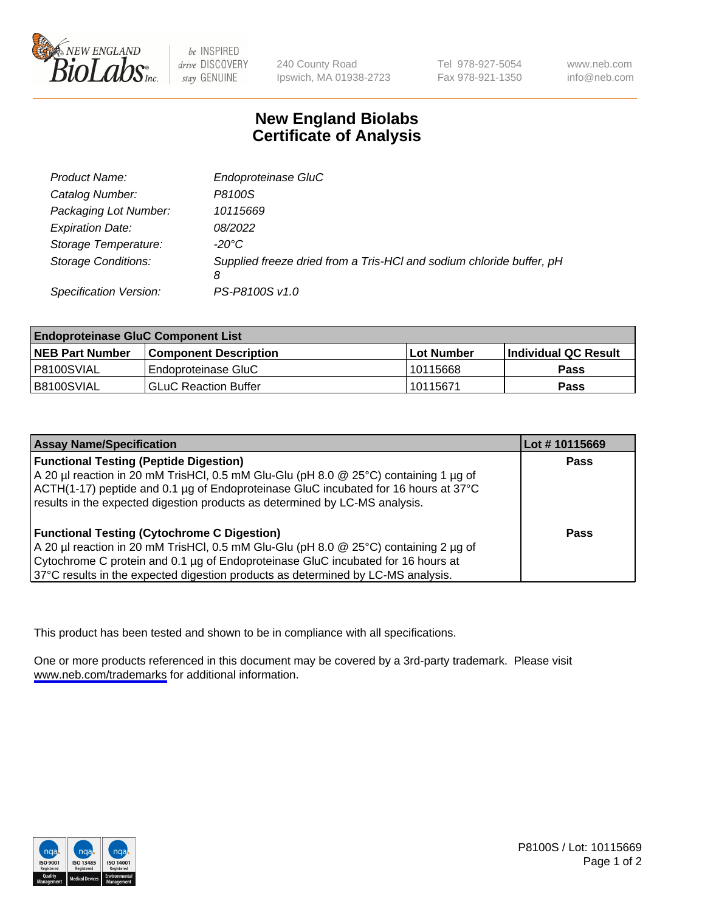

be INSPIRED drive DISCOVERY stay GENUINE

240 County Road Ipswich, MA 01938-2723 Tel 978-927-5054 Fax 978-921-1350

www.neb.com info@neb.com

## **New England Biolabs Certificate of Analysis**

| Product Name:              | Endoproteinase GluC                                                       |
|----------------------------|---------------------------------------------------------------------------|
| Catalog Number:            | P8100S                                                                    |
| Packaging Lot Number:      | 10115669                                                                  |
| <b>Expiration Date:</b>    | 08/2022                                                                   |
| Storage Temperature:       | $-20^{\circ}$ C                                                           |
| <b>Storage Conditions:</b> | Supplied freeze dried from a Tris-HCI and sodium chloride buffer, pH<br>8 |
| Specification Version:     | PS-P8100S v1.0                                                            |

| <b>Endoproteinase GluC Component List</b> |                              |            |                       |  |
|-------------------------------------------|------------------------------|------------|-----------------------|--|
| <b>NEB Part Number</b>                    | <b>Component Description</b> | Lot Number | ∣Individual QC Result |  |
| P8100SVIAL                                | Endoproteinase GluC          | 10115668   | <b>Pass</b>           |  |
| B8100SVIAL                                | <b>GLuC Reaction Buffer</b>  | 10115671   | Pass                  |  |

| <b>Assay Name/Specification</b>                                                      | Lot #10115669 |
|--------------------------------------------------------------------------------------|---------------|
| <b>Functional Testing (Peptide Digestion)</b>                                        | <b>Pass</b>   |
| A 20 µl reaction in 20 mM TrisHCl, 0.5 mM Glu-Glu (pH 8.0 @ 25°C) containing 1 µg of |               |
| ACTH(1-17) peptide and 0.1 µg of Endoproteinase GluC incubated for 16 hours at 37°C  |               |
| results in the expected digestion products as determined by LC-MS analysis.          |               |
| <b>Functional Testing (Cytochrome C Digestion)</b>                                   | Pass          |
| A 20 µl reaction in 20 mM TrisHCl, 0.5 mM Glu-Glu (pH 8.0 @ 25°C) containing 2 µg of |               |
| Cytochrome C protein and 0.1 µg of Endoproteinase GluC incubated for 16 hours at     |               |
| 37°C results in the expected digestion products as determined by LC-MS analysis.     |               |

This product has been tested and shown to be in compliance with all specifications.

One or more products referenced in this document may be covered by a 3rd-party trademark. Please visit <www.neb.com/trademarks>for additional information.